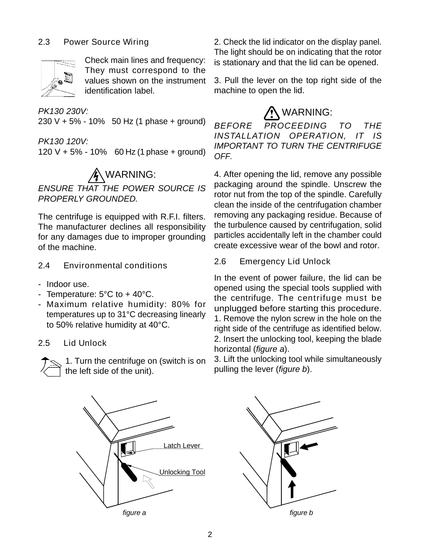

They must correspond to the

**PK130 230V:**  $\mathcal{N}$  WARNING: 230 V + 5% - 10% 50 Hz (1 phase + ground)  $BEFORE$  PROCEEDING TO THE

120 V + 5% - 10% 60 Hz (1 phase + ground)  $\frac{nm}{0FF}$ 

ENSURE THAT THE POWER SOURCE IS

The centrifuge is equipped with R.F.I. filters. The manufacturer declines all responsibility for any damages due to improper grounding of the machine. create excessive wear of the bowl and rotor.

- 2.4 Environmental conditions 2.0 Emergency Liu Uniock
- 
- 
- Maximum relative humidity: 80% for temperatures up to 31°C decreasing linearly



1. Turn the centrifuge on (switch is on the left side of the unit).

2.3 Power Source Wiring 2. Check the lid indicator on the display panel. Check main lines and frequency: is stationary and that the lid can be opened. The light should be on indicating that the rotor

values shown on the instrument 3. Pull the lever on the top right side of the identification label. The machine to open the lid. machine to open the lid.

## WARNING:

PK130 120V: IMPORTANT TO TURN THE CENTRIFUGE BEFORE PROCEEDING TO THE INSTALLATION OPERATION, IT IS OFF.

WARNING: 4. After opening the lid, remove any possible PROPERLY GROUNDED. packaging around the spindle. Unscrew the rotor nut from the top of the spindle. Carefully clean the inside of the centrifugation chamber removing any packaging residue. Because of the turbulence caused by centrifugation, solid particles accidentally left in the chamber could

## 2.6 Emergency Lid Unlock

- Indoor use.  $\frac{m}{2}$  opened using the special tools supplied with  $\blacksquare$ - Temperature:  $5^{\circ}$ C to  $\pm$  40 $^{\circ}$ C.<br> $\blacksquare$  the centrifuge The centrifuge must be to 50% relative humidity at 40°C.<br>
right side of the centrifuge as identified below. 2.5 Lid Unlock 2. Insert the unlocking tool, keeping the black In the event of power failure, the lid can be the centrifuge. The centrifuge must be unplugged before starting this procedure. 1. Remove the nylon screw in the hole on the 2. Insert the unlocking tool, keeping the blade horizontal (figure a).

> 3. Lift the unlocking tool while simultaneously pulling the lever (*figure b*).